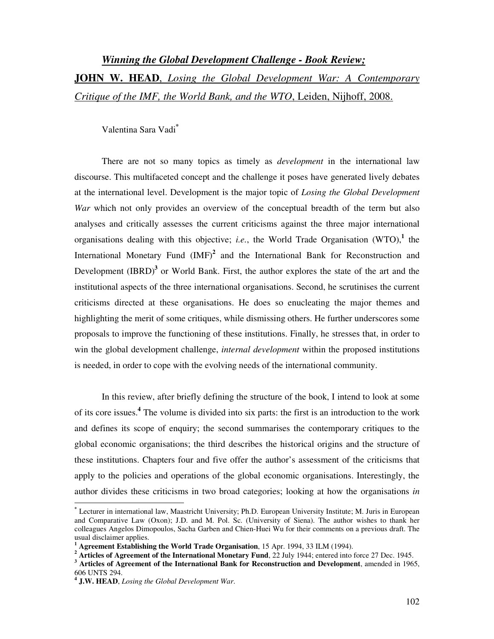# *Winning the Global Development Challenge - Book Review;* **JOHN W. HEAD**, *Losing the Global Development War: A Contemporary Critique of the IMF, the World Bank, and the WTO*, Leiden, Nijhoff, 2008.

Valentina Sara Vadi**\***

There are not so many topics as timely as *development* in the international law discourse. This multifaceted concept and the challenge it poses have generated lively debates at the international level. Development is the major topic of *Losing the Global Development War* which not only provides an overview of the conceptual breadth of the term but also analyses and critically assesses the current criticisms against the three major international organisations dealing with this objective; *i.e.*, the World Trade Organisation (WTO),**<sup>1</sup>** the International Monetary Fund (IMF)<sup>2</sup> and the International Bank for Reconstruction and Development (IBRD)<sup>3</sup> or World Bank. First, the author explores the state of the art and the institutional aspects of the three international organisations. Second, he scrutinises the current criticisms directed at these organisations. He does so enucleating the major themes and highlighting the merit of some critiques, while dismissing others. He further underscores some proposals to improve the functioning of these institutions. Finally, he stresses that, in order to win the global development challenge, *internal development* within the proposed institutions is needed, in order to cope with the evolving needs of the international community.

In this review, after briefly defining the structure of the book, I intend to look at some of its core issues.**<sup>4</sup>** The volume is divided into six parts: the first is an introduction to the work and defines its scope of enquiry; the second summarises the contemporary critiques to the global economic organisations; the third describes the historical origins and the structure of these institutions. Chapters four and five offer the author's assessment of the criticisms that apply to the policies and operations of the global economic organisations. Interestingly, the author divides these criticisms in two broad categories; looking at how the organisations *in* 

 $\overline{\phantom{a}}$ 

**<sup>\*</sup>** Lecturer in international law, Maastricht University; Ph.D. European University Institute; M. Juris in European and Comparative Law (Oxon); J.D. and M. Pol. Sc. (University of Siena). The author wishes to thank her colleagues Angelos Dimopoulos, Sacha Garben and Chien-Huei Wu for their comments on a previous draft. The usual disclaimer applies.

**<sup>1</sup> Agreement Establishing the World Trade Organisation**, 15 Apr. 1994, 33 ILM (1994).

<sup>&</sup>lt;sup>2</sup> Articles of Agreement of the International Monetary Fund, 22 July 1944; entered into force 27 Dec. 1945. <sup>3</sup> Articles of Agreement of the International Bank for Reconstruction and Development, amended in 1965, 606 UNTS 294.

**<sup>4</sup> J.W. HEAD**, *Losing the Global Development War*.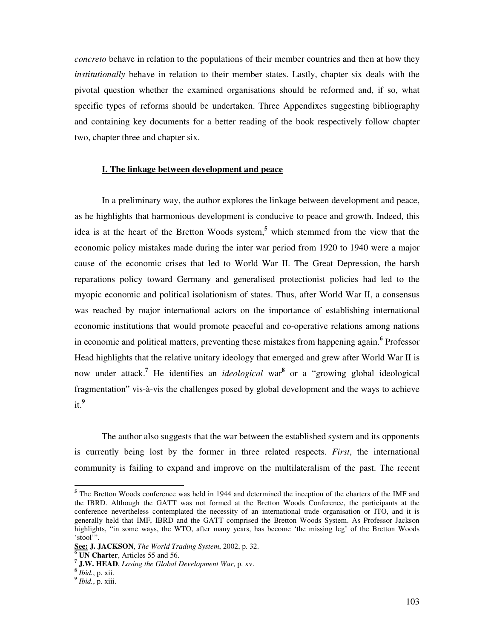*concreto* behave in relation to the populations of their member countries and then at how they *institutionally* behave in relation to their member states. Lastly, chapter six deals with the pivotal question whether the examined organisations should be reformed and, if so, what specific types of reforms should be undertaken. Three Appendixes suggesting bibliography and containing key documents for a better reading of the book respectively follow chapter two, chapter three and chapter six.

#### **I. The linkage between development and peace**

In a preliminary way, the author explores the linkage between development and peace, as he highlights that harmonious development is conducive to peace and growth. Indeed, this idea is at the heart of the Bretton Woods system,**<sup>5</sup>** which stemmed from the view that the economic policy mistakes made during the inter war period from 1920 to 1940 were a major cause of the economic crises that led to World War II. The Great Depression, the harsh reparations policy toward Germany and generalised protectionist policies had led to the myopic economic and political isolationism of states. Thus, after World War II, a consensus was reached by major international actors on the importance of establishing international economic institutions that would promote peaceful and co-operative relations among nations in economic and political matters, preventing these mistakes from happening again.<sup>6</sup> Professor Head highlights that the relative unitary ideology that emerged and grew after World War II is now under attack.<sup>7</sup> He identifies an *ideological* war<sup>8</sup> or a "growing global ideological fragmentation" vis-à-vis the challenges posed by global development and the ways to achieve it.**9**

The author also suggests that the war between the established system and its opponents is currently being lost by the former in three related respects. *First*, the international community is failing to expand and improve on the multilateralism of the past. The recent

<sup>&</sup>lt;sup>5</sup> The Bretton Woods conference was held in 1944 and determined the inception of the charters of the IMF and the IBRD. Although the GATT was not formed at the Bretton Woods Conference, the participants at the conference nevertheless contemplated the necessity of an international trade organisation or ITO, and it is generally held that IMF, IBRD and the GATT comprised the Bretton Woods System. As Professor Jackson highlights, "in some ways, the WTO, after many years, has become 'the missing leg' of the Bretton Woods 'stool'".

**See: J. JACKSON**, *The World Trading System*, 2002, p. 32.

**<sup>6</sup> UN Charter**, Articles 55 and 56.

**<sup>7</sup> J.W. HEAD**, *Losing the Global Development War*, p. xv.

**<sup>8</sup>** *Ibid.*, p. xii.

**<sup>9</sup>** *Ibid.*, p. xiii.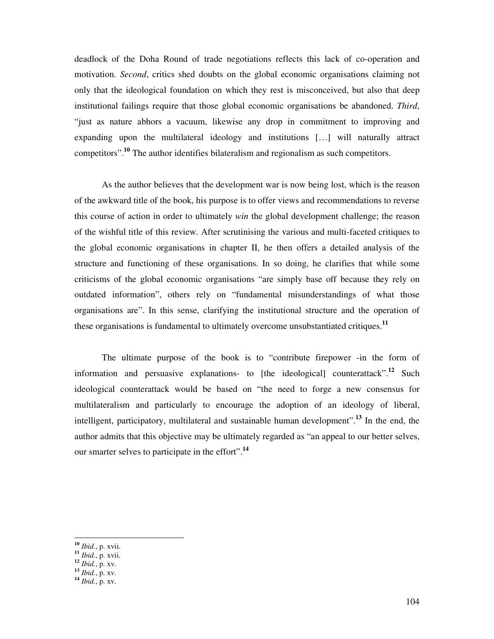deadlock of the Doha Round of trade negotiations reflects this lack of co-operation and motivation. *Second*, critics shed doubts on the global economic organisations claiming not only that the ideological foundation on which they rest is misconceived, but also that deep institutional failings require that those global economic organisations be abandoned. *Third*, "just as nature abhors a vacuum, likewise any drop in commitment to improving and expanding upon the multilateral ideology and institutions […] will naturally attract competitors".**<sup>10</sup>** The author identifies bilateralism and regionalism as such competitors.

As the author believes that the development war is now being lost, which is the reason of the awkward title of the book, his purpose is to offer views and recommendations to reverse this course of action in order to ultimately *win* the global development challenge; the reason of the wishful title of this review. After scrutinising the various and multi-faceted critiques to the global economic organisations in chapter II, he then offers a detailed analysis of the structure and functioning of these organisations. In so doing, he clarifies that while some criticisms of the global economic organisations "are simply base off because they rely on outdated information", others rely on "fundamental misunderstandings of what those organisations are". In this sense, clarifying the institutional structure and the operation of these organisations is fundamental to ultimately overcome unsubstantiated critiques.**<sup>11</sup>**

The ultimate purpose of the book is to "contribute firepower -in the form of information and persuasive explanations- to [the ideological] counterattack".**<sup>12</sup>** Such ideological counterattack would be based on "the need to forge a new consensus for multilateralism and particularly to encourage the adoption of an ideology of liberal, intelligent, participatory, multilateral and sustainable human development".**<sup>13</sup>** In the end, the author admits that this objective may be ultimately regarded as "an appeal to our better selves, our smarter selves to participate in the effort".**<sup>14</sup>**

**<sup>10</sup>** *Ibid.*, p. xvii.

**<sup>11</sup>** *Ibid.*, p. xvii.

**<sup>12</sup>** *Ibid.*, p. xv.

**<sup>13</sup>** *Ibid.*, p. xv.

**<sup>14</sup>** *Ibid.*, p. xv.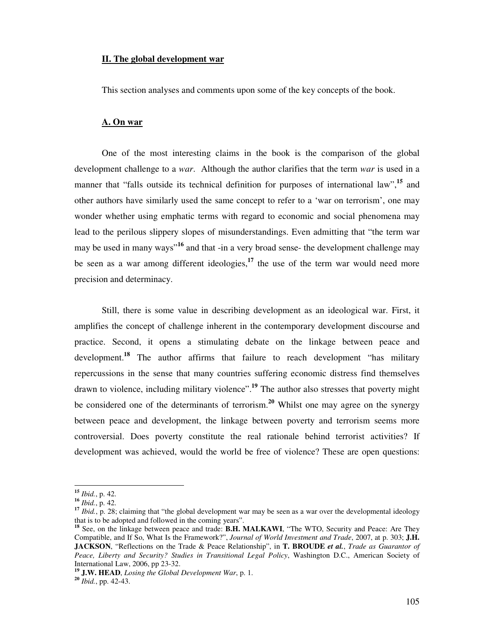#### **II. The global development war**

This section analyses and comments upon some of the key concepts of the book.

#### **A. On war**

One of the most interesting claims in the book is the comparison of the global development challenge to a *war*. Although the author clarifies that the term *war* is used in a manner that "falls outside its technical definition for purposes of international law",<sup>15</sup> and other authors have similarly used the same concept to refer to a 'war on terrorism', one may wonder whether using emphatic terms with regard to economic and social phenomena may lead to the perilous slippery slopes of misunderstandings. Even admitting that "the term war may be used in many ways"**<sup>16</sup>** and that -in a very broad sense- the development challenge may be seen as a war among different ideologies,**<sup>17</sup>** the use of the term war would need more precision and determinacy.

Still, there is some value in describing development as an ideological war. First, it amplifies the concept of challenge inherent in the contemporary development discourse and practice. Second, it opens a stimulating debate on the linkage between peace and development.**<sup>18</sup>** The author affirms that failure to reach development "has military repercussions in the sense that many countries suffering economic distress find themselves drawn to violence, including military violence".**<sup>19</sup>** The author also stresses that poverty might be considered one of the determinants of terrorism.**<sup>20</sup>** Whilst one may agree on the synergy between peace and development, the linkage between poverty and terrorism seems more controversial. Does poverty constitute the real rationale behind terrorist activities? If development was achieved, would the world be free of violence? These are open questions:

 $\overline{a}$ **<sup>15</sup>** *Ibid.*, p. 42.

**<sup>16</sup>** *Ibid.*, p. 42.

<sup>&</sup>lt;sup>17</sup> *Ibid.*, p. 28; claiming that "the global development war may be seen as a war over the developmental ideology that is to be adopted and followed in the coming years".

<sup>&</sup>lt;sup>18</sup> See, on the linkage between peace and trade: **B.H. MALKAWI**, "The WTO, Security and Peace: Are They Compatible, and If So, What Is the Framework?", *Journal of World Investment and Trade*, 2007, at p. 303; **J.H. JACKSON**, "Reflections on the Trade & Peace Relationship", in **T. BROUDE** *et al.*, *Trade as Guarantor of Peace, Liberty and Security? Studies in Transitional Legal Policy*, Washington D.C., American Society of International Law, 2006, pp 23-32.

**<sup>19</sup> J.W. HEAD**, *Losing the Global Development War*, p. 1.

**<sup>20</sup>** *Ibid.*, pp. 42-43.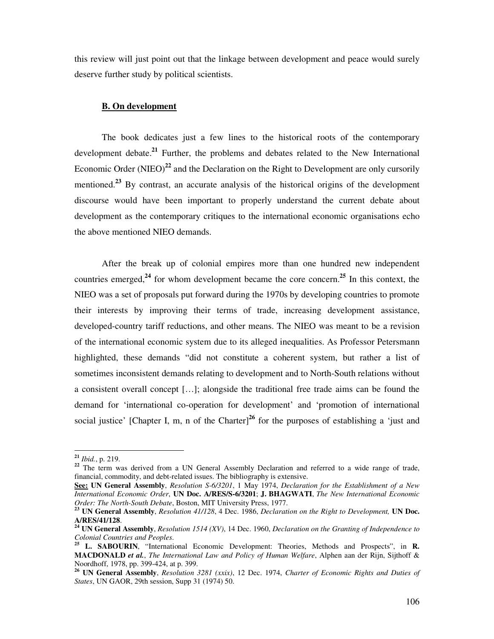this review will just point out that the linkage between development and peace would surely deserve further study by political scientists.

#### **B. On development**

The book dedicates just a few lines to the historical roots of the contemporary development debate.**<sup>21</sup>** Further, the problems and debates related to the New International Economic Order (NIEO)<sup>22</sup> and the Declaration on the Right to Development are only cursorily mentioned.<sup>23</sup> By contrast, an accurate analysis of the historical origins of the development discourse would have been important to properly understand the current debate about development as the contemporary critiques to the international economic organisations echo the above mentioned NIEO demands.

After the break up of colonial empires more than one hundred new independent countries emerged,**<sup>24</sup>** for whom development became the core concern.**<sup>25</sup>** In this context, the NIEO was a set of proposals put forward during the 1970s by developing countries to promote their interests by improving their terms of trade, increasing development assistance, developed-country tariff reductions, and other means. The NIEO was meant to be a revision of the international economic system due to its alleged inequalities. As Professor Petersmann highlighted, these demands "did not constitute a coherent system, but rather a list of sometimes inconsistent demands relating to development and to North-South relations without a consistent overall concept […]; alongside the traditional free trade aims can be found the demand for 'international co-operation for development' and 'promotion of international social justice' [Chapter I, m, n of the Charter]<sup>26</sup> for the purposes of establishing a 'just and

**<sup>21</sup>** *Ibid.*, p. 219.

<sup>&</sup>lt;sup>22</sup> The term was derived from a UN General Assembly Declaration and referred to a wide range of trade, financial, commodity, and debt-related issues. The bibliography is extensive.

**See: UN General Assembly**, *Resolution S-6/3201*, 1 May 1974, *Declaration for the Establishment of a New International Economic Order*, **UN Doc. A/RES/S-6/3201**; **J. BHAGWATI**, *The New International Economic Order: The North-South Debate*, Boston, MIT University Press, 1977.

**<sup>23</sup> UN General Assembly**, *Resolution 41/128*, 4 Dec. 1986, *Declaration on the Right to Development,* **UN Doc. A/RES/41/128**.

**<sup>24</sup> UN General Assembly**, *Resolution 1514 (XV)*, 14 Dec. 1960, *Declaration on the Granting of Independence to Colonial Countries and Peoples*.

**<sup>25</sup> L. SABOURIN**, "International Economic Development: Theories, Methods and Prospects", in **R. MACDONALD** *et al.*, *The International Law and Policy of Human Welfare*, Alphen aan der Rijn, Sijthoff & Noordhoff, 1978, pp. 399-424, at p. 399.

**<sup>26</sup> UN General Assembly**, *Resolution 3281 (xxix)*, 12 Dec. 1974, *Charter of Economic Rights and Duties of States*, UN GAOR, 29th session, Supp 31 (1974) 50.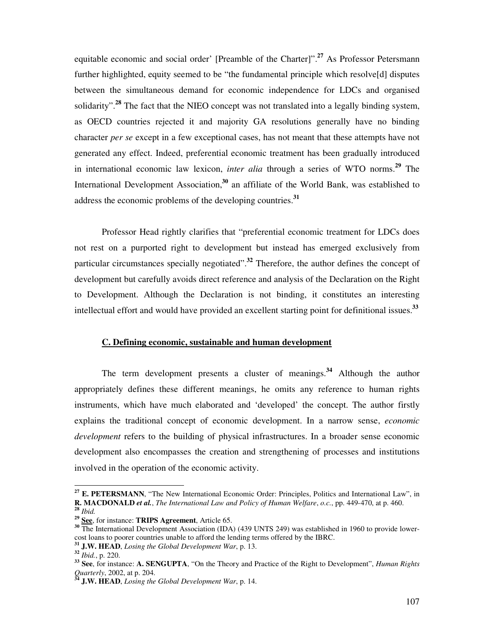equitable economic and social order' [Preamble of the Charter]".**<sup>27</sup>** As Professor Petersmann further highlighted, equity seemed to be "the fundamental principle which resolve[d] disputes between the simultaneous demand for economic independence for LDCs and organised solidarity".**<sup>28</sup>** The fact that the NIEO concept was not translated into a legally binding system, as OECD countries rejected it and majority GA resolutions generally have no binding character *per se* except in a few exceptional cases, has not meant that these attempts have not generated any effect. Indeed, preferential economic treatment has been gradually introduced in international economic law lexicon, *inter alia* through a series of WTO norms.**<sup>29</sup>** The International Development Association,**<sup>30</sup>** an affiliate of the World Bank, was established to address the economic problems of the developing countries.**<sup>31</sup>**

Professor Head rightly clarifies that "preferential economic treatment for LDCs does not rest on a purported right to development but instead has emerged exclusively from particular circumstances specially negotiated".**<sup>32</sup>** Therefore, the author defines the concept of development but carefully avoids direct reference and analysis of the Declaration on the Right to Development. Although the Declaration is not binding, it constitutes an interesting intellectual effort and would have provided an excellent starting point for definitional issues.**<sup>33</sup>**

# **C. Defining economic, sustainable and human development**

The term development presents a cluster of meanings. **<sup>34</sup>** Although the author appropriately defines these different meanings, he omits any reference to human rights instruments, which have much elaborated and 'developed' the concept. The author firstly explains the traditional concept of economic development. In a narrow sense, *economic development* refers to the building of physical infrastructures. In a broader sense economic development also encompasses the creation and strengthening of processes and institutions involved in the operation of the economic activity.

**<sup>27</sup> E. PETERSMANN**, "The New International Economic Order: Principles, Politics and International Law", in **R. MACDONALD** *et al.*, *The International Law and Policy of Human Welfare*, *o.c.*, pp. 449-470, at p. 460. **<sup>28</sup>** *Ibid.*

**<sup>29</sup> See**, for instance: **TRIPS Agreement**, Article 65.

<sup>&</sup>lt;sup>30</sup> The International Development Association (IDA) (439 UNTS 249) was established in 1960 to provide lowercost loans to poorer countries unable to afford the lending terms offered by the IBRC.

**<sup>31</sup> J.W. HEAD**, *Losing the Global Development War*, p. 13.

**<sup>32</sup>** *Ibid.*, p. 220.

**<sup>33</sup> See**, for instance: **A. SENGUPTA**, "On the Theory and Practice of the Right to Development", *Human Rights Quarterly*, 2002, at p. 204.

**<sup>34</sup> J.W. HEAD**, *Losing the Global Development War*, p. 14.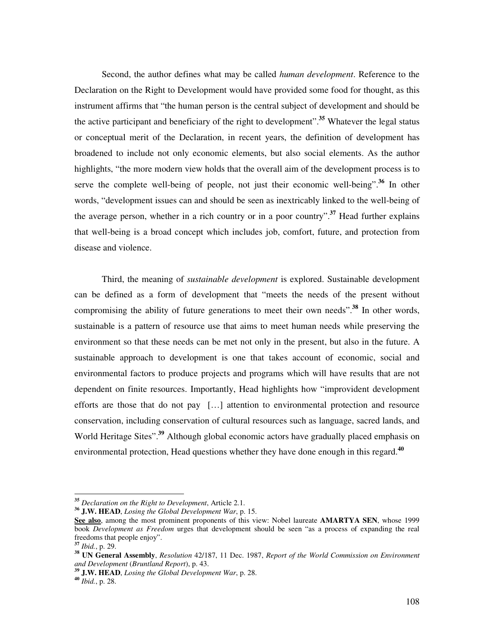Second, the author defines what may be called *human development*. Reference to the Declaration on the Right to Development would have provided some food for thought, as this instrument affirms that "the human person is the central subject of development and should be the active participant and beneficiary of the right to development".**<sup>35</sup>** Whatever the legal status or conceptual merit of the Declaration, in recent years, the definition of development has broadened to include not only economic elements, but also social elements. As the author highlights, "the more modern view holds that the overall aim of the development process is to serve the complete well-being of people, not just their economic well-being".**<sup>36</sup>** In other words, "development issues can and should be seen as inextricably linked to the well-being of the average person, whether in a rich country or in a poor country".**<sup>37</sup>** Head further explains that well-being is a broad concept which includes job, comfort, future, and protection from disease and violence.

Third, the meaning of *sustainable development* is explored. Sustainable development can be defined as a form of development that "meets the needs of the present without compromising the ability of future generations to meet their own needs".**<sup>38</sup>** In other words, sustainable is a pattern of resource use that aims to meet human needs while preserving the environment so that these needs can be met not only in the present, but also in the future. A sustainable approach to development is one that takes account of economic, social and environmental factors to produce projects and programs which will have results that are not dependent on finite resources. Importantly, Head highlights how "improvident development efforts are those that do not pay […] attention to environmental protection and resource conservation, including conservation of cultural resources such as language, sacred lands, and World Heritage Sites".**<sup>39</sup>** Although global economic actors have gradually placed emphasis on environmental protection, Head questions whether they have done enough in this regard.**<sup>40</sup>**

**<sup>35</sup>** *Declaration on the Right to Development*, Article 2.1.

**<sup>36</sup> J.W. HEAD**, *Losing the Global Development War*, p. 15.

**See also**, among the most prominent proponents of this view: Nobel laureate **AMARTYA SEN**, whose 1999 book *Development as Freedom* urges that development should be seen "as a process of expanding the real freedoms that people enjoy".

**<sup>37</sup>** *Ibid.*, p. 29.

**<sup>38</sup> UN General Assembly**, *Resolution* 42/187, 11 Dec. 1987, *Report of the World Commission on Environment and Development* (*Bruntland Report*), p. 43.

**<sup>39</sup> J.W. HEAD**, *Losing the Global Development War*, p. 28.

**<sup>40</sup>** *Ibid.*, p. 28.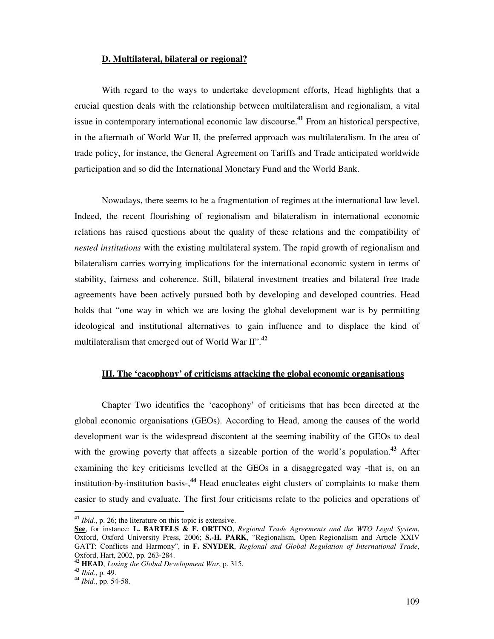#### **D. Multilateral, bilateral or regional?**

With regard to the ways to undertake development efforts, Head highlights that a crucial question deals with the relationship between multilateralism and regionalism, a vital issue in contemporary international economic law discourse.**<sup>41</sup>** From an historical perspective, in the aftermath of World War II, the preferred approach was multilateralism. In the area of trade policy, for instance, the General Agreement on Tariffs and Trade anticipated worldwide participation and so did the International Monetary Fund and the World Bank.

Nowadays, there seems to be a fragmentation of regimes at the international law level. Indeed, the recent flourishing of regionalism and bilateralism in international economic relations has raised questions about the quality of these relations and the compatibility of *nested institutions* with the existing multilateral system. The rapid growth of regionalism and bilateralism carries worrying implications for the international economic system in terms of stability, fairness and coherence. Still, bilateral investment treaties and bilateral free trade agreements have been actively pursued both by developing and developed countries. Head holds that "one way in which we are losing the global development war is by permitting ideological and institutional alternatives to gain influence and to displace the kind of multilateralism that emerged out of World War II".**<sup>42</sup>**

# **III. The 'cacophony' of criticisms attacking the global economic organisations**

Chapter Two identifies the 'cacophony' of criticisms that has been directed at the global economic organisations (GEOs). According to Head, among the causes of the world development war is the widespread discontent at the seeming inability of the GEOs to deal with the growing poverty that affects a sizeable portion of the world's population.<sup>43</sup> After examining the key criticisms levelled at the GEOs in a disaggregated way -that is, on an institution-by-institution basis-,**<sup>44</sup>** Head enucleates eight clusters of complaints to make them easier to study and evaluate. The first four criticisms relate to the policies and operations of

**<sup>41</sup>** *Ibid.*, p. 26; the literature on this topic is extensive.

**See**, for instance: **L. BARTELS & F. ORTINO**, *Regional Trade Agreements and the WTO Legal System*, Oxford, Oxford University Press, 2006; **S.-H. PARK**, "Regionalism, Open Regionalism and Article XXIV GATT: Conflicts and Harmony", in **F. SNYDER**, *Regional and Global Regulation of International Trade*, Oxford, Hart, 2002, pp. 263-284.

**<sup>42</sup> HEAD**, *Losing the Global Development War*, p. 315.

**<sup>43</sup>** *Ibid.*, p. 49.

**<sup>44</sup>** *Ibid.*, pp. 54-58.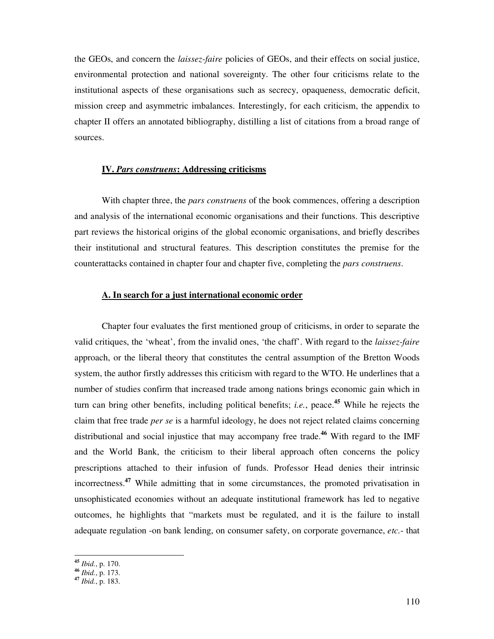the GEOs, and concern the *laissez-faire* policies of GEOs, and their effects on social justice, environmental protection and national sovereignty. The other four criticisms relate to the institutional aspects of these organisations such as secrecy, opaqueness, democratic deficit, mission creep and asymmetric imbalances. Interestingly, for each criticism, the appendix to chapter II offers an annotated bibliography, distilling a list of citations from a broad range of sources.

# **IV.** *Pars construens***: Addressing criticisms**

With chapter three, the *pars construens* of the book commences, offering a description and analysis of the international economic organisations and their functions. This descriptive part reviews the historical origins of the global economic organisations, and briefly describes their institutional and structural features. This description constitutes the premise for the counterattacks contained in chapter four and chapter five, completing the *pars construens*.

# **A. In search for a just international economic order**

Chapter four evaluates the first mentioned group of criticisms, in order to separate the valid critiques, the 'wheat', from the invalid ones, 'the chaff'. With regard to the *laissez-faire*  approach, or the liberal theory that constitutes the central assumption of the Bretton Woods system, the author firstly addresses this criticism with regard to the WTO. He underlines that a number of studies confirm that increased trade among nations brings economic gain which in turn can bring other benefits, including political benefits; *i.e.*, peace.**<sup>45</sup>** While he rejects the claim that free trade *per se* is a harmful ideology, he does not reject related claims concerning distributional and social injustice that may accompany free trade.**<sup>46</sup>** With regard to the IMF and the World Bank, the criticism to their liberal approach often concerns the policy prescriptions attached to their infusion of funds. Professor Head denies their intrinsic incorrectness.**<sup>47</sup>** While admitting that in some circumstances, the promoted privatisation in unsophisticated economies without an adequate institutional framework has led to negative outcomes, he highlights that "markets must be regulated, and it is the failure to install adequate regulation -on bank lending, on consumer safety, on corporate governance, *etc.*- that

**<sup>45</sup>** *Ibid.*, p. 170.

**<sup>46</sup>** *Ibid.*, p. 173.

**<sup>47</sup>** *Ibid.*, p. 183.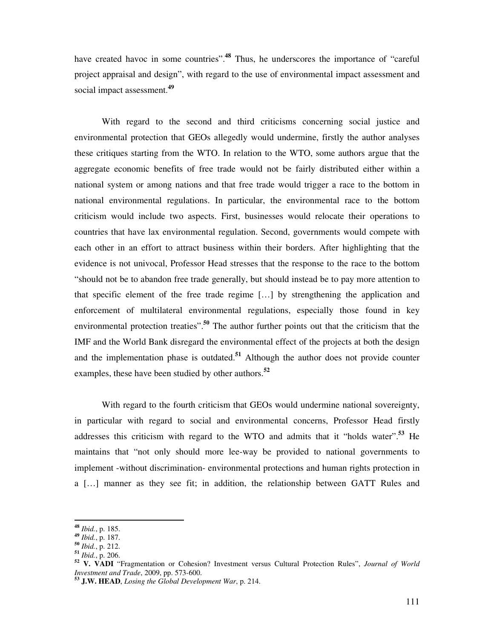have created havoc in some countries".<sup>48</sup> Thus, he underscores the importance of "careful" project appraisal and design", with regard to the use of environmental impact assessment and social impact assessment.**<sup>49</sup>**

With regard to the second and third criticisms concerning social justice and environmental protection that GEOs allegedly would undermine, firstly the author analyses these critiques starting from the WTO. In relation to the WTO, some authors argue that the aggregate economic benefits of free trade would not be fairly distributed either within a national system or among nations and that free trade would trigger a race to the bottom in national environmental regulations. In particular, the environmental race to the bottom criticism would include two aspects. First, businesses would relocate their operations to countries that have lax environmental regulation. Second, governments would compete with each other in an effort to attract business within their borders. After highlighting that the evidence is not univocal, Professor Head stresses that the response to the race to the bottom "should not be to abandon free trade generally, but should instead be to pay more attention to that specific element of the free trade regime […] by strengthening the application and enforcement of multilateral environmental regulations, especially those found in key environmental protection treaties".**<sup>50</sup>** The author further points out that the criticism that the IMF and the World Bank disregard the environmental effect of the projects at both the design and the implementation phase is outdated.**<sup>51</sup>** Although the author does not provide counter examples, these have been studied by other authors.**<sup>52</sup>**

With regard to the fourth criticism that GEOs would undermine national sovereignty, in particular with regard to social and environmental concerns, Professor Head firstly addresses this criticism with regard to the WTO and admits that it "holds water".**<sup>53</sup>** He maintains that "not only should more lee-way be provided to national governments to implement -without discrimination- environmental protections and human rights protection in a […] manner as they see fit; in addition, the relationship between GATT Rules and

**<sup>48</sup>** *Ibid.*, p. 185.

**<sup>49</sup>** *Ibid.*, p. 187.

**<sup>50</sup>** *Ibid.*, p. 212.

**<sup>51</sup>** *Ibid.*, p. 206.

**<sup>52</sup> V. VADI** "Fragmentation or Cohesion? Investment versus Cultural Protection Rules", *Journal of World Investment and Trade*, 2009, pp. 573-600.

**<sup>53</sup> J.W. HEAD**, *Losing the Global Development War*, p. 214.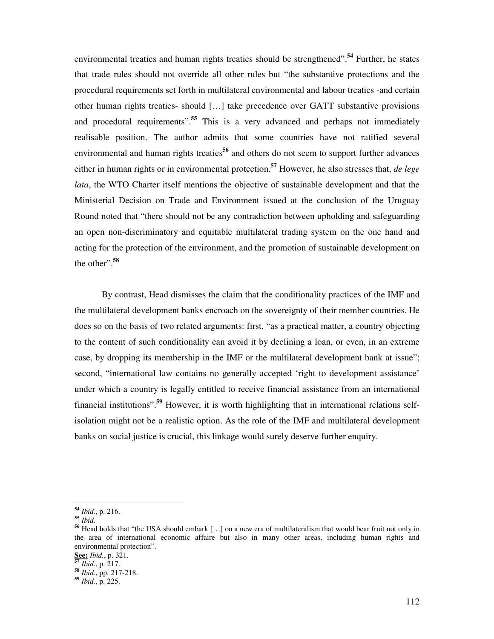environmental treaties and human rights treaties should be strengthened".**<sup>54</sup>** Further, he states that trade rules should not override all other rules but "the substantive protections and the procedural requirements set forth in multilateral environmental and labour treaties -and certain other human rights treaties- should […] take precedence over GATT substantive provisions and procedural requirements".**<sup>55</sup>** This is a very advanced and perhaps not immediately realisable position. The author admits that some countries have not ratified several environmental and human rights treaties<sup>56</sup> and others do not seem to support further advances either in human rights or in environmental protection.**<sup>57</sup>** However, he also stresses that, *de lege lata*, the WTO Charter itself mentions the objective of sustainable development and that the Ministerial Decision on Trade and Environment issued at the conclusion of the Uruguay Round noted that "there should not be any contradiction between upholding and safeguarding an open non-discriminatory and equitable multilateral trading system on the one hand and acting for the protection of the environment, and the promotion of sustainable development on the other".**<sup>58</sup>**

By contrast, Head dismisses the claim that the conditionality practices of the IMF and the multilateral development banks encroach on the sovereignty of their member countries. He does so on the basis of two related arguments: first, "as a practical matter, a country objecting to the content of such conditionality can avoid it by declining a loan, or even, in an extreme case, by dropping its membership in the IMF or the multilateral development bank at issue"; second, "international law contains no generally accepted 'right to development assistance' under which a country is legally entitled to receive financial assistance from an international financial institutions".**<sup>59</sup>** However, it is worth highlighting that in international relations selfisolation might not be a realistic option. As the role of the IMF and multilateral development banks on social justice is crucial, this linkage would surely deserve further enquiry.

**<sup>54</sup>** *Ibid.*, p. 216.

**<sup>55</sup>** *Ibid.*

**<sup>56</sup>** Head holds that "the USA should embark […] on a new era of multilateralism that would bear fruit not only in the area of international economic affaire but also in many other areas, including human rights and environmental protection".

**See:** *Ibid.*, p. 321.

**<sup>57</sup>** *Ibid.*, p. 217.

**<sup>58</sup>** *Ibid.*, pp. 217-218.

**<sup>59</sup>** *Ibid.*, p. 225.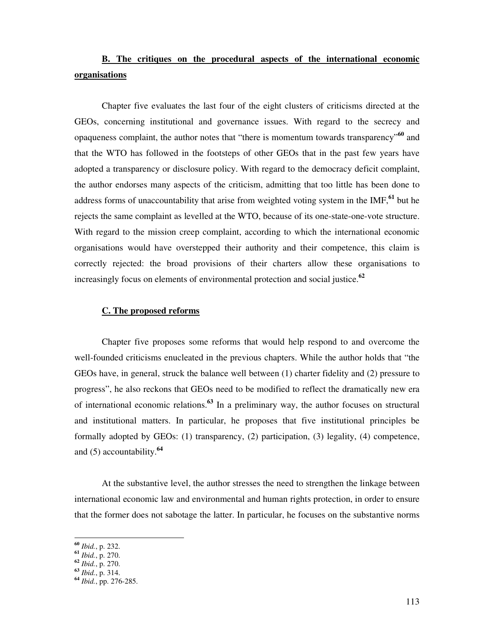# **B. The critiques on the procedural aspects of the international economic organisations**

Chapter five evaluates the last four of the eight clusters of criticisms directed at the GEOs, concerning institutional and governance issues. With regard to the secrecy and opaqueness complaint, the author notes that "there is momentum towards transparency"**<sup>60</sup>** and that the WTO has followed in the footsteps of other GEOs that in the past few years have adopted a transparency or disclosure policy. With regard to the democracy deficit complaint, the author endorses many aspects of the criticism, admitting that too little has been done to address forms of unaccountability that arise from weighted voting system in the IMF,**<sup>61</sup>** but he rejects the same complaint as levelled at the WTO, because of its one-state-one-vote structure. With regard to the mission creep complaint, according to which the international economic organisations would have overstepped their authority and their competence, this claim is correctly rejected: the broad provisions of their charters allow these organisations to increasingly focus on elements of environmental protection and social justice.**<sup>62</sup>**

# **C. The proposed reforms**

Chapter five proposes some reforms that would help respond to and overcome the well-founded criticisms enucleated in the previous chapters. While the author holds that "the GEOs have, in general, struck the balance well between (1) charter fidelity and (2) pressure to progress", he also reckons that GEOs need to be modified to reflect the dramatically new era of international economic relations.**<sup>63</sup>** In a preliminary way, the author focuses on structural and institutional matters. In particular, he proposes that five institutional principles be formally adopted by GEOs: (1) transparency, (2) participation, (3) legality, (4) competence, and (5) accountability.**<sup>64</sup>**

At the substantive level, the author stresses the need to strengthen the linkage between international economic law and environmental and human rights protection, in order to ensure that the former does not sabotage the latter. In particular, he focuses on the substantive norms

**<sup>60</sup>** *Ibid.*, p. 232.

**<sup>61</sup>** *Ibid.*, p. 270.

**<sup>62</sup>** *Ibid.*, p. 270.

**<sup>63</sup>** *Ibid.*, p. 314.

**<sup>64</sup>** *Ibid.*, pp. 276-285.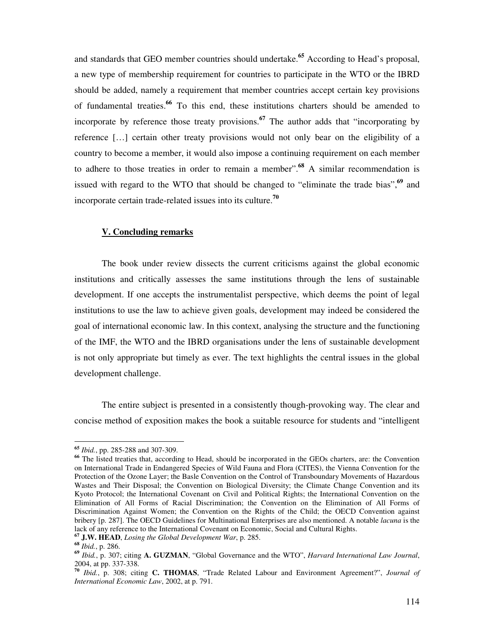and standards that GEO member countries should undertake.**<sup>65</sup>** According to Head's proposal, a new type of membership requirement for countries to participate in the WTO or the IBRD should be added, namely a requirement that member countries accept certain key provisions of fundamental treaties.**<sup>66</sup>** To this end, these institutions charters should be amended to incorporate by reference those treaty provisions.**<sup>67</sup>** The author adds that "incorporating by reference […] certain other treaty provisions would not only bear on the eligibility of a country to become a member, it would also impose a continuing requirement on each member to adhere to those treaties in order to remain a member".**<sup>68</sup>** A similar recommendation is issued with regard to the WTO that should be changed to "eliminate the trade bias",**<sup>69</sup>** and incorporate certain trade-related issues into its culture.**<sup>70</sup>**

#### **V. Concluding remarks**

The book under review dissects the current criticisms against the global economic institutions and critically assesses the same institutions through the lens of sustainable development. If one accepts the instrumentalist perspective, which deems the point of legal institutions to use the law to achieve given goals, development may indeed be considered the goal of international economic law. In this context, analysing the structure and the functioning of the IMF, the WTO and the IBRD organisations under the lens of sustainable development is not only appropriate but timely as ever. The text highlights the central issues in the global development challenge.

The entire subject is presented in a consistently though-provoking way. The clear and concise method of exposition makes the book a suitable resource for students and "intelligent

**<sup>65</sup>** *Ibid.*, pp. 285-288 and 307-309.

**<sup>66</sup>** The listed treaties that, according to Head, should be incorporated in the GEOs charters, are: the Convention on International Trade in Endangered Species of Wild Fauna and Flora (CITES), the Vienna Convention for the Protection of the Ozone Layer; the Basle Convention on the Control of Transboundary Movements of Hazardous Wastes and Their Disposal; the Convention on Biological Diversity; the Climate Change Convention and its Kyoto Protocol; the International Covenant on Civil and Political Rights; the International Convention on the Elimination of All Forms of Racial Discrimination; the Convention on the Elimination of All Forms of Discrimination Against Women; the Convention on the Rights of the Child; the OECD Convention against bribery [p. 287]. The OECD Guidelines for Multinational Enterprises are also mentioned. A notable *lacuna* is the lack of any reference to the International Covenant on Economic, Social and Cultural Rights.

**<sup>67</sup> J.W. HEAD**, *Losing the Global Development War*, p. 285.

**<sup>68</sup>** *Ibid.*, p. 286.

**<sup>69</sup>** *Ibid.*, p. 307; citing **A. GUZMAN**, "Global Governance and the WTO", *Harvard International Law Journal*, 2004, at pp. 337-338.

**<sup>70</sup>** *Ibid.*, p. 308; citing **C. THOMAS**, "Trade Related Labour and Environment Agreement?", *Journal of International Economic Law*, 2002, at p. 791.